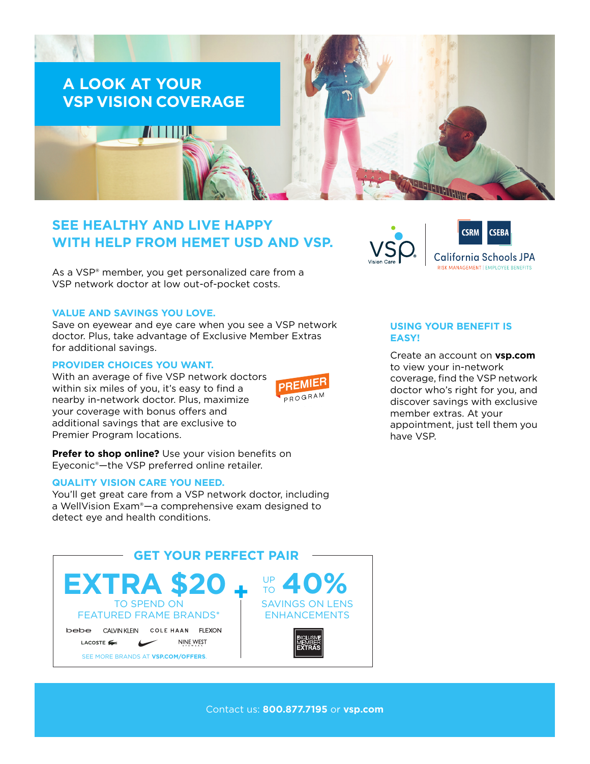

# **SEE HEALTHY AND LIVE HAPPY WITH HELP FROM HEMET USD AND VSP.**

As a VSP<sup>®</sup> member, you get personalized care from a VSP network doctor at low out-of-pocket costs.

# **VALUE AND SAVINGS YOU LOVE.**

Save on eyewear and eye care when you see a VSP network doctor. Plus, take advantage of Exclusive Member Extras for additional savings.

#### **PROVIDER CHOICES YOU WANT.**

With an average of five VSP network doctors within six miles of you, it's easy to find a nearby in-network doctor. Plus, maximize your coverage with bonus offers and additional savings that are exclusive to Premier Program locations.



**Prefer to shop online?** Use your vision benefits on Eyeconic®—the VSP preferred online retailer.

### **QUALITY VISION CARE YOU NEED.**

You'll get great care from a VSP network doctor, including a WellVision Exam®—a comprehensive exam designed to detect eye and health conditions.





# **USING YOUR BENEFIT IS EASY!**

Create an account on **[vsp.com](http://www.vsp.com)** to view your in-network coverage, find the VSP network doctor who's right for you, and discover savings with exclusive member extras. At your appointment, just tell them you have VSP.

Contact us: **800.877.7195** or **[vsp.com](http://www.vsp.com)**